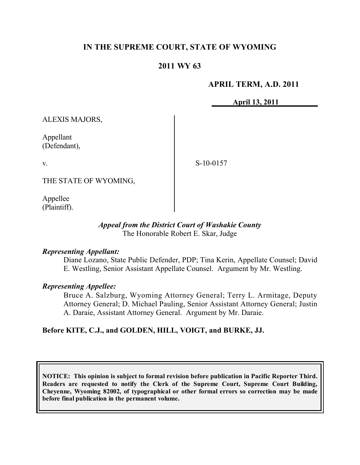# **IN THE SUPREME COURT, STATE OF WYOMING**

### **2011 WY 63**

### **APRIL TERM, A.D. 2011**

**April 13, 2011**

ALEXIS MAJORS,

Appellant (Defendant),

v.

S-10-0157

THE STATE OF WYOMING,

Appellee (Plaintiff).

#### *Appeal from the District Court of Washakie County* The Honorable Robert E. Skar, Judge

#### *Representing Appellant:*

Diane Lozano, State Public Defender, PDP; Tina Kerin, Appellate Counsel; David E. Westling, Senior Assistant Appellate Counsel. Argument by Mr. Westling.

#### *Representing Appellee:*

Bruce A. Salzburg, Wyoming Attorney General; Terry L. Armitage, Deputy Attorney General; D. Michael Pauling, Senior Assistant Attorney General; Justin A. Daraie, Assistant Attorney General. Argument by Mr. Daraie.

### **Before KITE, C.J., and GOLDEN, HILL, VOIGT, and BURKE, JJ.**

**NOTICE: This opinion is subject to formal revision before publication in Pacific Reporter Third. Readers are requested to notify the Clerk of the Supreme Court, Supreme Court Building, Cheyenne, Wyoming 82002, of typographical or other formal errors so correction may be made before final publication in the permanent volume.**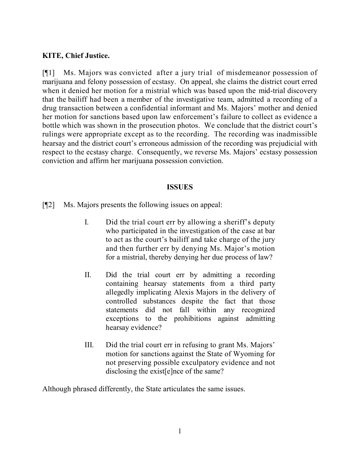### **KITE, Chief Justice.**

[¶1] Ms. Majors was convicted after a jury trial of misdemeanor possession of marijuana and felony possession of ecstasy. On appeal, she claims the district court erred when it denied her motion for a mistrial which was based upon the mid-trial discovery that the bailiff had been a member of the investigative team, admitted a recording of a drug transaction between a confidential informant and Ms. Majors' mother and denied her motion for sanctions based upon law enforcement's failure to collect as evidence a bottle which was shown in the prosecution photos. We conclude that the district court's rulings were appropriate except as to the recording. The recording was inadmissible hearsay and the district court's erroneous admission of the recording was prejudicial with respect to the ecstasy charge. Consequently, we reverse Ms. Majors' ecstasy possession conviction and affirm her marijuana possession conviction.

### **ISSUES**

[¶2] Ms. Majors presents the following issues on appeal:

- I. Did the trial court err by allowing a sheriff's deputy who participated in the investigation of the case at bar to act as the court's bailiff and take charge of the jury and then further err by denying Ms. Major's motion for a mistrial, thereby denying her due process of law?
- II. Did the trial court err by admitting a recording containing hearsay statements from a third party allegedly implicating Alexis Majors in the delivery of controlled substances despite the fact that those statements did not fall within any recognized exceptions to the prohibitions against admitting hearsay evidence?
- III. Did the trial court err in refusing to grant Ms. Majors' motion for sanctions against the State of Wyoming for not preserving possible exculpatory evidence and not disclosing the exist[e]nce of the same?

Although phrased differently, the State articulates the same issues.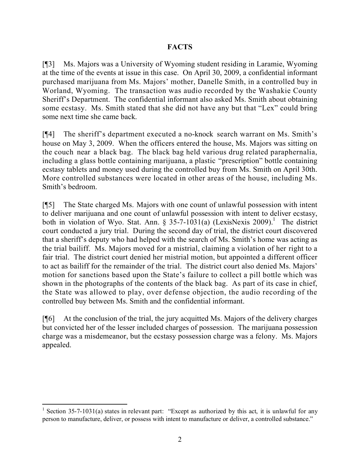# **FACTS**

[¶3] Ms. Majors was a University of Wyoming student residing in Laramie, Wyoming at the time of the events at issue in this case. On April 30, 2009, a confidential informant purchased marijuana from Ms. Majors' mother, Danelle Smith, in a controlled buy in Worland, Wyoming. The transaction was audio recorded by the Washakie County Sheriff's Department. The confidential informant also asked Ms. Smith about obtaining some ecstasy. Ms. Smith stated that she did not have any but that "Lex" could bring some next time she came back.

[¶4] The sheriff's department executed a no-knock search warrant on Ms. Smith's house on May 3, 2009. When the officers entered the house, Ms. Majors was sitting on the couch near a black bag. The black bag held various drug related paraphernalia, including a glass bottle containing marijuana, a plastic "prescription" bottle containing ecstasy tablets and money used during the controlled buy from Ms. Smith on April 30th. More controlled substances were located in other areas of the house, including Ms. Smith's bedroom.

[¶5] The State charged Ms. Majors with one count of unlawful possession with intent to deliver marijuana and one count of unlawful possession with intent to deliver ecstasy, both in violation of Wyo. Stat. Ann.  $\S$  35-7-1031(a) (LexisNexis 2009).<sup>1</sup> The district court conducted a jury trial. During the second day of trial, the district court discovered that a sheriff's deputy who had helped with the search of Ms. Smith's home was acting as the trial bailiff. Ms. Majors moved for a mistrial, claiming a violation of her right to a fair trial. The district court denied her mistrial motion, but appointed a different officer to act as bailiff for the remainder of the trial. The district court also denied Ms. Majors' motion for sanctions based upon the State's failure to collect a pill bottle which was shown in the photographs of the contents of the black bag. As part of its case in chief, the State was allowed to play, over defense objection, the audio recording of the controlled buy between Ms. Smith and the confidential informant.

[¶6] At the conclusion of the trial, the jury acquitted Ms. Majors of the delivery charges but convicted her of the lesser included charges of possession. The marijuana possession charge was a misdemeanor, but the ecstasy possession charge was a felony. Ms. Majors appealed.

 $\overline{a}$ 

<sup>&</sup>lt;sup>1</sup> Section 35-7-1031(a) states in relevant part: "Except as authorized by this act, it is unlawful for any person to manufacture, deliver, or possess with intent to manufacture or deliver, a controlled substance."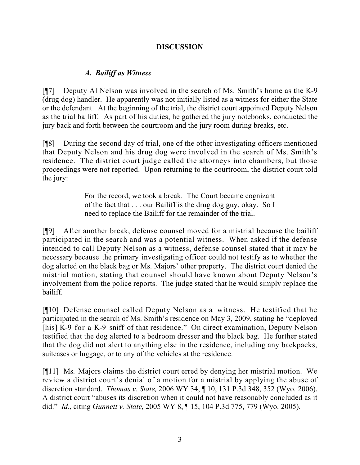# **DISCUSSION**

### *A. Bailiff as Witness*

[¶7] Deputy Al Nelson was involved in the search of Ms. Smith's home as the K-9 (drug dog) handler. He apparently was not initially listed as a witness for either the State or the defendant. At the beginning of the trial, the district court appointed Deputy Nelson as the trial bailiff. As part of his duties, he gathered the jury notebooks, conducted the jury back and forth between the courtroom and the jury room during breaks, etc.

[¶8] During the second day of trial, one of the other investigating officers mentioned that Deputy Nelson and his drug dog were involved in the search of Ms. Smith's residence. The district court judge called the attorneys into chambers, but those proceedings were not reported. Upon returning to the courtroom, the district court told the jury:

> For the record, we took a break. The Court became cognizant of the fact that . . . our Bailiff is the drug dog guy, okay. So I need to replace the Bailiff for the remainder of the trial.

[¶9] After another break, defense counsel moved for a mistrial because the bailiff participated in the search and was a potential witness. When asked if the defense intended to call Deputy Nelson as a witness, defense counsel stated that it may be necessary because the primary investigating officer could not testify as to whether the dog alerted on the black bag or Ms. Majors' other property. The district court denied the mistrial motion, stating that counsel should have known about Deputy Nelson's involvement from the police reports. The judge stated that he would simply replace the bailiff.

[¶10] Defense counsel called Deputy Nelson as a witness. He testified that he participated in the search of Ms. Smith's residence on May 3, 2009, stating he "deployed [his] K-9 for a K-9 sniff of that residence." On direct examination, Deputy Nelson testified that the dog alerted to a bedroom dresser and the black bag. He further stated that the dog did not alert to anything else in the residence, including any backpacks, suitcases or luggage, or to any of the vehicles at the residence.

[¶11] Ms. Majors claims the district court erred by denying her mistrial motion. We review a district court's denial of a motion for a mistrial by applying the abuse of discretion standard. *Thomas v. State,* 2006 WY 34, ¶ 10, 131 P.3d 348, 352 (Wyo. 2006). A district court "abuses its discretion when it could not have reasonably concluded as it did." *Id.*, citing *Gunnett v. State,* 2005 WY 8, ¶ 15, 104 P.3d 775, 779 (Wyo. 2005).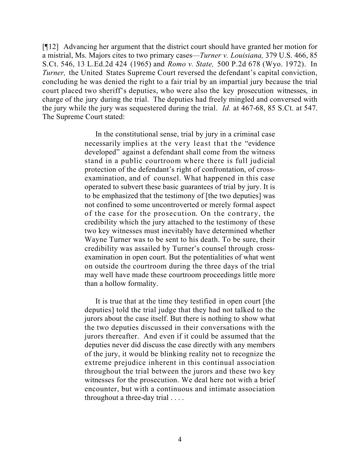[¶12] Advancing her argument that the district court should have granted her motion for a mistrial, Ms. Majors cites to two primary cases—*Turner v. Louisiana,* 379 U.S. 466, 85 S.Ct. 546, 13 L.Ed.2d 424 (1965) and *Romo v. State,* 500 P.2d 678 (Wyo. 1972). In *Turner*, the United States Supreme Court reversed the defendant's capital conviction, concluding he was denied the right to a fair trial by an impartial jury because the trial court placed two sheriff's deputies, who were also the key prosecution witnesses, in charge of the jury during the trial. The deputies had freely mingled and conversed with the jury while the jury was sequestered during the trial. *Id.* at 467-68, 85 S.Ct. at 547. The Supreme Court stated:

> In the constitutional sense, trial by jury in a criminal case necessarily implies at the very least that the "evidence developed" against a defendant shall come from the witness stand in a public courtroom where there is full judicial protection of the defendant's right of confrontation, of crossexamination, and of counsel. What happened in this case operated to subvert these basic guarantees of trial by jury. It is to be emphasized that the testimony of [the two deputies] was not confined to some uncontroverted or merely formal aspect of the case for the prosecution. On the contrary, the credibility which the jury attached to the testimony of these two key witnesses must inevitably have determined whether Wayne Turner was to be sent to his death. To be sure, their credibility was assailed by Turner's counsel through crossexamination in open court. But the potentialities of what went on outside the courtroom during the three days of the trial may well have made these courtroom proceedings little more than a hollow formality.

> It is true that at the time they testified in open court [the deputies] told the trial judge that they had not talked to the jurors about the case itself. But there is nothing to show what the two deputies discussed in their conversations with the jurors thereafter. And even if it could be assumed that the deputies never did discuss the case directly with any members of the jury, it would be blinking reality not to recognize the extreme prejudice inherent in this continual association throughout the trial between the jurors and these two key witnesses for the prosecution. We deal here not with a brief encounter, but with a continuous and intimate association throughout a three-day trial . . . .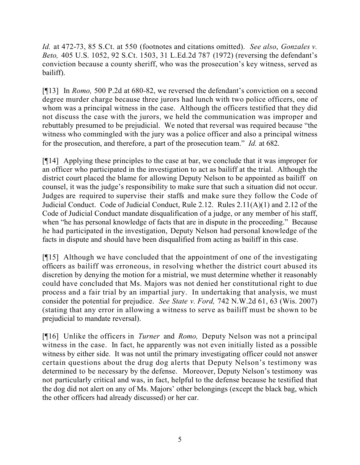*Id.* at 472-73, 85 S.Ct. at 550 (footnotes and citations omitted). *See also*, *Gonzales v. Beto,* 405 U.S. 1052, 92 S.Ct. 1503, 31 L.Ed.2d 787 (1972) (reversing the defendant's conviction because a county sheriff, who was the prosecution's key witness, served as bailiff).

[¶13] In *Romo,* 500 P.2d at 680-82, we reversed the defendant's conviction on a second degree murder charge because three jurors had lunch with two police officers, one of whom was a principal witness in the case. Although the officers testified that they did not discuss the case with the jurors, we held the communication was improper and rebuttably presumed to be prejudicial. We noted that reversal was required because "the witness who commingled with the jury was a police officer and also a principal witness for the prosecution, and therefore, a part of the prosecution team." *Id.* at 682.

[¶14] Applying these principles to the case at bar, we conclude that it was improper for an officer who participated in the investigation to act as bailiff at the trial. Although the district court placed the blame for allowing Deputy Nelson to be appointed as bailiff on counsel, it was the judge's responsibility to make sure that such a situation did not occur. Judges are required to supervise their staffs and make sure they follow the Code of Judicial Conduct. Code of Judicial Conduct, Rule 2.12. Rules 2.11(A)(1) and 2.12 of the Code of Judicial Conduct mandate disqualification of a judge, or any member of his staff, when "he has personal knowledge of facts that are in dispute in the proceeding." Because he had participated in the investigation, Deputy Nelson had personal knowledge of the facts in dispute and should have been disqualified from acting as bailiff in this case.

[¶15] Although we have concluded that the appointment of one of the investigating officers as bailiff was erroneous, in resolving whether the district court abused its discretion by denying the motion for a mistrial, we must determine whether it reasonably could have concluded that Ms. Majors was not denied her constitutional right to due process and a fair trial by an impartial jury. In undertaking that analysis, we must consider the potential for prejudice. *See State v. Ford,* 742 N.W.2d 61, 63 (Wis. 2007) (stating that any error in allowing a witness to serve as bailiff must be shown to be prejudicial to mandate reversal).

[¶16] Unlike the officers in *Turner* and *Romo,* Deputy Nelson was not a principal witness in the case. In fact, he apparently was not even initially listed as a possible witness by either side. It was not until the primary investigating officer could not answer certain questions about the drug dog alerts that Deputy Nelson's testimony was determined to be necessary by the defense. Moreover, Deputy Nelson's testimony was not particularly critical and was, in fact, helpful to the defense because he testified that the dog did not alert on any of Ms. Majors' other belongings (except the black bag, which the other officers had already discussed) or her car.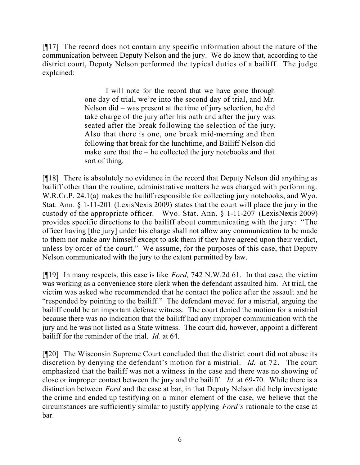[¶17] The record does not contain any specific information about the nature of the communication between Deputy Nelson and the jury. We do know that, according to the district court, Deputy Nelson performed the typical duties of a bailiff. The judge explained:

> I will note for the record that we have gone through one day of trial, we're into the second day of trial, and Mr. Nelson did – was present at the time of jury selection, he did take charge of the jury after his oath and after the jury was seated after the break following the selection of the jury. Also that there is one, one break mid-morning and then following that break for the lunchtime, and Bailiff Nelson did make sure that the – he collected the jury notebooks and that sort of thing.

[¶18] There is absolutely no evidence in the record that Deputy Nelson did anything as bailiff other than the routine, administrative matters he was charged with performing. W.R.Cr.P. 24.1(a) makes the bailiff responsible for collecting jury notebooks, and Wyo. Stat. Ann. § 1-11-201 (LexisNexis 2009) states that the court will place the jury in the custody of the appropriate officer. Wyo. Stat. Ann. § 1-11-207 (LexisNexis 2009) provides specific directions to the bailiff about communicating with the jury: "The officer having [the jury] under his charge shall not allow any communication to be made to them nor make any himself except to ask them if they have agreed upon their verdict, unless by order of the court." We assume, for the purposes of this case, that Deputy Nelson communicated with the jury to the extent permitted by law.

[¶19] In many respects, this case is like *Ford,* 742 N.W.2d 61. In that case, the victim was working as a convenience store clerk when the defendant assaulted him. At trial, the victim was asked who recommended that he contact the police after the assault and he "responded by pointing to the bailiff." The defendant moved for a mistrial, arguing the bailiff could be an important defense witness. The court denied the motion for a mistrial because there was no indication that the bailiff had any improper communication with the jury and he was not listed as a State witness. The court did, however, appoint a different bailiff for the reminder of the trial. *Id.* at 64.

[¶20] The Wisconsin Supreme Court concluded that the district court did not abuse its discretion by denying the defendant's motion for a mistrial. *Id.* at 72. The court emphasized that the bailiff was not a witness in the case and there was no showing of close or improper contact between the jury and the bailiff. *Id.* at 69-70. While there is a distinction between *Ford* and the case at bar, in that Deputy Nelson did help investigate the crime and ended up testifying on a minor element of the case, we believe that the circumstances are sufficiently similar to justify applying *Ford's* rationale to the case at bar.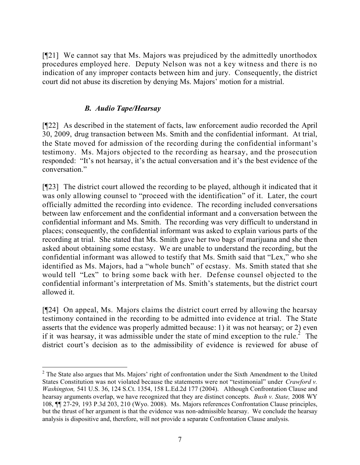[¶21] We cannot say that Ms. Majors was prejudiced by the admittedly unorthodox procedures employed here. Deputy Nelson was not a key witness and there is no indication of any improper contacts between him and jury. Consequently, the district court did not abuse its discretion by denying Ms. Majors' motion for a mistrial.

# *B. Audio Tape/Hearsay*

 $\overline{a}$ 

[¶22] As described in the statement of facts, law enforcement audio recorded the April 30, 2009, drug transaction between Ms. Smith and the confidential informant. At trial, the State moved for admission of the recording during the confidential informant's testimony. Ms. Majors objected to the recording as hearsay, and the prosecution responded: "It's not hearsay, it's the actual conversation and it's the best evidence of the conversation"

[¶23] The district court allowed the recording to be played, although it indicated that it was only allowing counsel to "proceed with the identification" of it. Later, the court officially admitted the recording into evidence. The recording included conversations between law enforcement and the confidential informant and a conversation between the confidential informant and Ms. Smith. The recording was very difficult to understand in places; consequently, the confidential informant was asked to explain various parts of the recording at trial. She stated that Ms. Smith gave her two bags of marijuana and she then asked about obtaining some ecstasy. We are unable to understand the recording, but the confidential informant was allowed to testify that Ms. Smith said that "Lex," who she identified as Ms. Majors, had a "whole bunch" of ecstasy. Ms. Smith stated that she would tell "Lex" to bring some back with her. Defense counsel objected to the confidential informant's interpretation of Ms. Smith's statements, but the district court allowed it.

[¶24] On appeal, Ms. Majors claims the district court erred by allowing the hearsay testimony contained in the recording to be admitted into evidence at trial. The State asserts that the evidence was properly admitted because: 1) it was not hearsay; or 2) even if it was hearsay, it was admissible under the state of mind exception to the rule.<sup>2</sup> The district court's decision as to the admissibility of evidence is reviewed for abuse of

<sup>&</sup>lt;sup>2</sup> The State also argues that Ms. Majors' right of confrontation under the Sixth Amendment to the United States Constitution was not violated because the statements were not "testimonial" under *Crawford v. Washington,* 541 U.S. 36, 124 S.Ct. 1354, 158 L.Ed.2d 177 (2004). Although Confrontation Clause and hearsay arguments overlap, we have recognized that they are distinct concepts. *Bush v. State,* 2008 WY 108, ¶¶ 27-29, 193 P.3d 203, 210 (Wyo. 2008). Ms. Majors references Confrontation Clause principles, but the thrust of her argument is that the evidence was non-admissible hearsay. We conclude the hearsay analysis is dispositive and, therefore, will not provide a separate Confrontation Clause analysis.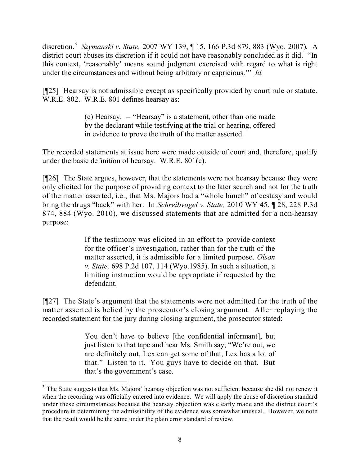discretion.<sup>3</sup> *Szymanski v. State,* 2007 WY 139, ¶ 15, 166 P.3d 879, 883 (Wyo. 2007). A district court abuses its discretion if it could not have reasonably concluded as it did. "In this context, 'reasonably' means sound judgment exercised with regard to what is right under the circumstances and without being arbitrary or capricious.'" *Id.*

[¶25] Hearsay is not admissible except as specifically provided by court rule or statute. W.R.E. 802. W.R.E. 801 defines hearsay as:

> (c) Hearsay. – "Hearsay" is a statement, other than one made by the declarant while testifying at the trial or hearing, offered in evidence to prove the truth of the matter asserted.

The recorded statements at issue here were made outside of court and, therefore, qualify under the basic definition of hearsay. W.R.E. 801(c).

[¶26] The State argues, however, that the statements were not hearsay because they were only elicited for the purpose of providing context to the later search and not for the truth of the matter asserted, i.e., that Ms. Majors had a "whole bunch" of ecstasy and would bring the drugs "back" with her. In *Schreibvogel v. State,* 2010 WY 45, ¶ 28, 228 P.3d 874, 884 (Wyo. 2010), we discussed statements that are admitted for a non-hearsay purpose:

> If the testimony was elicited in an effort to provide context for the officer's investigation, rather than for the truth of the matter asserted, it is admissible for a limited purpose. *Olson v. State,* 698 P.2d 107, 114 (Wyo.1985). In such a situation, a limiting instruction would be appropriate if requested by the defendant.

[¶27] The State's argument that the statements were not admitted for the truth of the matter asserted is belied by the prosecutor's closing argument. After replaying the recorded statement for the jury during closing argument, the prosecutor stated:

> You don't have to believe [the confidential informant], but just listen to that tape and hear Ms. Smith say, "We're out, we are definitely out, Lex can get some of that, Lex has a lot of that." Listen to it. You guys have to decide on that. But that's the government's case.

 $\overline{a}$ 

 $3$  The State suggests that Ms. Majors' hearsay objection was not sufficient because she did not renew it when the recording was officially entered into evidence. We will apply the abuse of discretion standard under these circumstances because the hearsay objection was clearly made and the district court's procedure in determining the admissibility of the evidence was somewhat unusual. However, we note that the result would be the same under the plain error standard of review.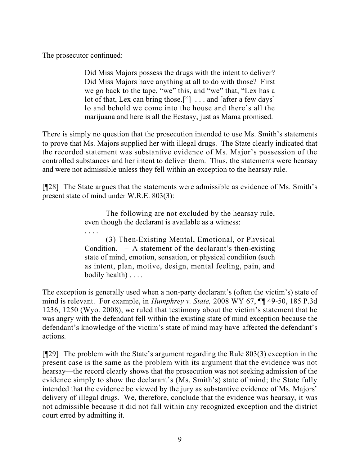The prosecutor continued:

Did Miss Majors possess the drugs with the intent to deliver? Did Miss Majors have anything at all to do with those? First we go back to the tape, "we" this, and "we" that, "Lex has a lot of that, Lex can bring those.["] . . . and [after a few days] lo and behold we come into the house and there's all the marijuana and here is all the Ecstasy, just as Mama promised.

There is simply no question that the prosecution intended to use Ms. Smith's statements to prove that Ms. Majors supplied her with illegal drugs. The State clearly indicated that the recorded statement was substantive evidence of Ms. Major's possession of the controlled substances and her intent to deliver them. Thus, the statements were hearsay and were not admissible unless they fell within an exception to the hearsay rule.

[¶28] The State argues that the statements were admissible as evidence of Ms. Smith's present state of mind under W.R.E. 803(3):

> The following are not excluded by the hearsay rule, even though the declarant is available as a witness:

> . . . . (3) Then-Existing Mental, Emotional, or Physical Condition.  $- A$  statement of the declarant's then-existing state of mind, emotion, sensation, or physical condition (such as intent, plan, motive, design, mental feeling, pain, and bodily health) . . . .

The exception is generally used when a non-party declarant's (often the victim's) state of mind is relevant. For example, in *Humphrey v. State,* 2008 WY 67, ¶¶ 49-50, 185 P.3d 1236, 1250 (Wyo. 2008), we ruled that testimony about the victim's statement that he was angry with the defendant fell within the existing state of mind exception because the defendant's knowledge of the victim's state of mind may have affected the defendant's actions.

[¶29] The problem with the State's argument regarding the Rule 803(3) exception in the present case is the same as the problem with its argument that the evidence was not hearsay—the record clearly shows that the prosecution was not seeking admission of the evidence simply to show the declarant's (Ms. Smith's) state of mind; the State fully intended that the evidence be viewed by the jury as substantive evidence of Ms. Majors' delivery of illegal drugs. We, therefore, conclude that the evidence was hearsay, it was not admissible because it did not fall within any recognized exception and the district court erred by admitting it.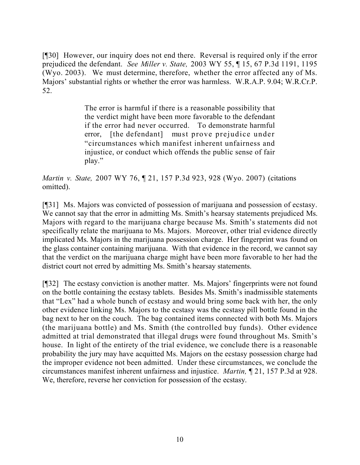[¶30] However, our inquiry does not end there. Reversal is required only if the error prejudiced the defendant. *See Miller v. State,* 2003 WY 55, ¶ 15, 67 P.3d 1191, 1195 (Wyo. 2003). We must determine, therefore, whether the error affected any of Ms. Majors' substantial rights or whether the error was harmless. W.R.A.P. 9.04; W.R.Cr.P. 52.

> The error is harmful if there is a reasonable possibility that the verdict might have been more favorable to the defendant if the error had never occurred. To demonstrate harmful error, [the defendant] must prove prejudice under "circumstances which manifest inherent unfairness and injustice, or conduct which offends the public sense of fair play."

*Martin v. State,* 2007 WY 76, ¶ 21, 157 P.3d 923, 928 (Wyo. 2007) (citations omitted).

[¶31] Ms. Majors was convicted of possession of marijuana and possession of ecstasy. We cannot say that the error in admitting Ms. Smith's hearsay statements prejudiced Ms. Majors with regard to the marijuana charge because Ms. Smith's statements did not specifically relate the marijuana to Ms. Majors. Moreover, other trial evidence directly implicated Ms. Majors in the marijuana possession charge. Her fingerprint was found on the glass container containing marijuana. With that evidence in the record, we cannot say that the verdict on the marijuana charge might have been more favorable to her had the district court not erred by admitting Ms. Smith's hearsay statements.

[¶32] The ecstasy conviction is another matter. Ms. Majors' fingerprints were not found on the bottle containing the ecstasy tablets. Besides Ms. Smith's inadmissible statements that "Lex" had a whole bunch of ecstasy and would bring some back with her, the only other evidence linking Ms. Majors to the ecstasy was the ecstasy pill bottle found in the bag next to her on the couch. The bag contained items connected with both Ms. Majors (the marijuana bottle) and Ms. Smith (the controlled buy funds). Other evidence admitted at trial demonstrated that illegal drugs were found throughout Ms. Smith's house. In light of the entirety of the trial evidence, we conclude there is a reasonable probability the jury may have acquitted Ms. Majors on the ecstasy possession charge had the improper evidence not been admitted. Under these circumstances, we conclude the circumstances manifest inherent unfairness and injustice. *Martin,* ¶ 21, 157 P.3d at 928. We, therefore, reverse her conviction for possession of the ecstasy.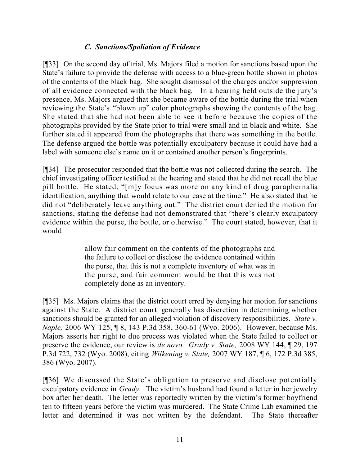# *C. Sanctions/Spoliation of Evidence*

[¶33] On the second day of trial, Ms. Majors filed a motion for sanctions based upon the State's failure to provide the defense with access to a blue-green bottle shown in photos of the contents of the black bag. She sought dismissal of the charges and/or suppression of all evidence connected with the black bag. In a hearing held outside the jury's presence, Ms. Majors argued that she became aware of the bottle during the trial when reviewing the State's "blown up" color photographs showing the contents of the bag. She stated that she had not been able to see it before because the copies of the photographs provided by the State prior to trial were small and in black and white. She further stated it appeared from the photographs that there was something in the bottle. The defense argued the bottle was potentially exculpatory because it could have had a label with someone else's name on it or contained another person's fingerprints.

[¶34] The prosecutor responded that the bottle was not collected during the search. The chief investigating officer testified at the hearing and stated that he did not recall the blue pill bottle. He stated, "[m]y focus was more on any kind of drug paraphernalia identification, anything that would relate to our case at the time." He also stated that he did not "deliberately leave anything out." The district court denied the motion for sanctions, stating the defense had not demonstrated that "there's clearly exculpatory evidence within the purse, the bottle, or otherwise." The court stated, however, that it would

> allow fair comment on the contents of the photographs and the failure to collect or disclose the evidence contained within the purse, that this is not a complete inventory of what was in the purse, and fair comment would be that this was not completely done as an inventory.

[¶35] Ms. Majors claims that the district court erred by denying her motion for sanctions against the State. A district court generally has discretion in determining whether sanctions should be granted for an alleged violation of discovery responsibilities. *State v. Naple,* 2006 WY 125, ¶ 8, 143 P.3d 358, 360-61 (Wyo. 2006). However, because Ms. Majors asserts her right to due process was violated when the State failed to collect or preserve the evidence, our review is *de novo. Grady v. State,* 2008 WY 144, ¶ 29, 197 P.3d 722, 732 (Wyo. 2008), citing *Wilkening v. State,* 2007 WY 187, ¶ 6, 172 P.3d 385, 386 (Wyo. 2007).

[¶36] We discussed the State's obligation to preserve and disclose potentially exculpatory evidence in *Grady.* The victim's husband had found a letter in her jewelry box after her death. The letter was reportedly written by the victim's former boyfriend ten to fifteen years before the victim was murdered. The State Crime Lab examined the letter and determined it was not written by the defendant. The State thereafter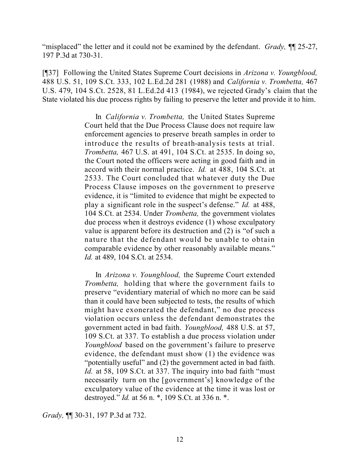"misplaced" the letter and it could not be examined by the defendant. *Grady,* ¶¶ 25-27, 197 P.3d at 730-31.

[¶37] Following the United States Supreme Court decisions in *Arizona v. Youngblood,*  488 U.S. 51, 109 S.Ct. 333, 102 L.Ed.2d 281 (1988) and *California v. Trombetta,* 467 U.S. 479, 104 S.Ct. 2528, 81 L.Ed.2d 413 (1984), we rejected Grady's claim that the State violated his due process rights by failing to preserve the letter and provide it to him.

> In *California v. Trombetta,* the United States Supreme Court held that the Due Process Clause does not require law enforcement agencies to preserve breath samples in order to introduce the results of breath-analysis tests at trial. *Trombetta,* 467 U.S. at 491, 104 S.Ct. at 2535. In doing so, the Court noted the officers were acting in good faith and in accord with their normal practice. *Id.* at 488, 104 S.Ct. at 2533. The Court concluded that whatever duty the Due Process Clause imposes on the government to preserve evidence, it is "limited to evidence that might be expected to play a significant role in the suspect's defense." *Id.* at 488, 104 S.Ct. at 2534. Under *Trombetta,* the government violates due process when it destroys evidence (1) whose exculpatory value is apparent before its destruction and (2) is "of such a nature that the defendant would be unable to obtain comparable evidence by other reasonably available means." *Id.* at 489, 104 S.Ct. at 2534.

> In *Arizona v. Youngblood,* the Supreme Court extended *Trombetta,* holding that where the government fails to preserve "evidentiary material of which no more can be said than it could have been subjected to tests, the results of which might have exonerated the defendant," no due process violation occurs unless the defendant demonstrates the government acted in bad faith. *Youngblood,* 488 U.S. at 57, 109 S.Ct. at 337. To establish a due process violation under *Youngblood* based on the government's failure to preserve evidence, the defendant must show (1) the evidence was "potentially useful" and (2) the government acted in bad faith. *Id.* at 58, 109 S.Ct. at 337. The inquiry into bad faith "must necessarily turn on the [government's] knowledge of the exculpatory value of the evidence at the time it was lost or destroyed." *Id.* at 56 n. \*, 109 S.Ct. at 336 n. \*.

*Grady,* ¶¶ 30-31, 197 P.3d at 732.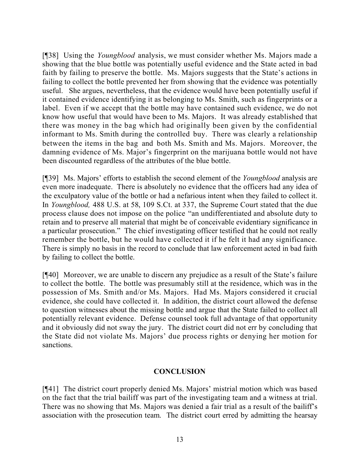[¶38] Using the *Youngblood* analysis, we must consider whether Ms. Majors made a showing that the blue bottle was potentially useful evidence and the State acted in bad faith by failing to preserve the bottle. Ms. Majors suggests that the State's actions in failing to collect the bottle prevented her from showing that the evidence was potentially useful. She argues, nevertheless, that the evidence would have been potentially useful if it contained evidence identifying it as belonging to Ms. Smith, such as fingerprints or a label. Even if we accept that the bottle may have contained such evidence, we do not know how useful that would have been to Ms. Majors. It was already established that there was money in the bag which had originally been given by the confidential informant to Ms. Smith during the controlled buy. There was clearly a relationship between the items in the bag and both Ms. Smith and Ms. Majors. Moreover, the damning evidence of Ms. Major's fingerprint on the marijuana bottle would not have been discounted regardless of the attributes of the blue bottle.

[¶39] Ms. Majors' efforts to establish the second element of the *Youngblood* analysis are even more inadequate. There is absolutely no evidence that the officers had any idea of the exculpatory value of the bottle or had a nefarious intent when they failed to collect it. In *Youngblood,* 488 U.S. at 58, 109 S.Ct. at 337, the Supreme Court stated that the due process clause does not impose on the police "an undifferentiated and absolute duty to retain and to preserve all material that might be of conceivable evidentiary significance in a particular prosecution." The chief investigating officer testified that he could not really remember the bottle, but he would have collected it if he felt it had any significance. There is simply no basis in the record to conclude that law enforcement acted in bad faith by failing to collect the bottle.

[¶40] Moreover, we are unable to discern any prejudice as a result of the State's failure to collect the bottle. The bottle was presumably still at the residence, which was in the possession of Ms. Smith and/or Ms. Majors. Had Ms. Majors considered it crucial evidence, she could have collected it. In addition, the district court allowed the defense to question witnesses about the missing bottle and argue that the State failed to collect all potentially relevant evidence. Defense counsel took full advantage of that opportunity and it obviously did not sway the jury. The district court did not err by concluding that the State did not violate Ms. Majors' due process rights or denying her motion for sanctions.

### **CONCLUSION**

[¶41] The district court properly denied Ms. Majors' mistrial motion which was based on the fact that the trial bailiff was part of the investigating team and a witness at trial. There was no showing that Ms. Majors was denied a fair trial as a result of the bailiff's association with the prosecution team. The district court erred by admitting the hearsay